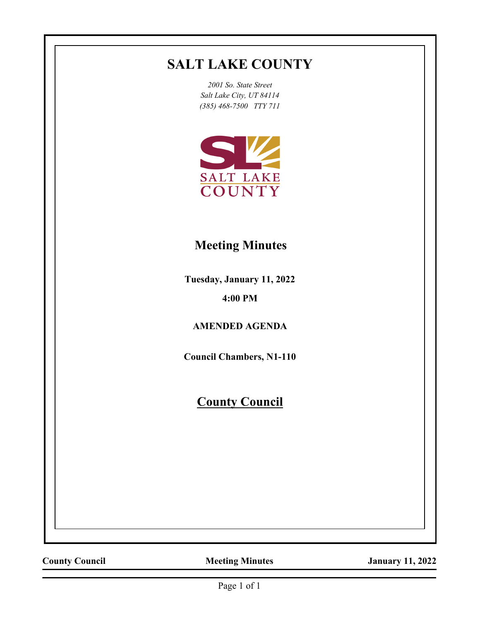# **SALT LAKE COUNTY**

*2001 So. State Street Salt Lake City, UT 84114 (385) 468-7500 TTY 711*



# **Meeting Minutes**

**Tuesday, January 11, 2022**

**4:00 PM**

**AMENDED AGENDA**

**Council Chambers, N1-110**

**County Council**

**County Council Meeting Minutes January 11, 2022**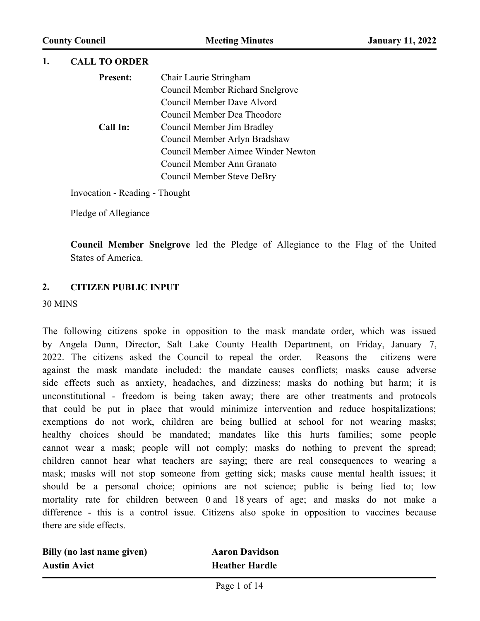#### **1. CALL TO ORDER**

| <b>Present:</b> | Chair Laurie Stringham             |
|-----------------|------------------------------------|
|                 | Council Member Richard Snelgrove   |
|                 | Council Member Dave Alvord         |
|                 | Council Member Dea Theodore        |
| Call In:        | Council Member Jim Bradley         |
|                 | Council Member Arlyn Bradshaw      |
|                 | Council Member Aimee Winder Newton |
|                 | Council Member Ann Granato         |
|                 | Council Member Steve DeBry         |
|                 |                                    |

Invocation - Reading - Thought

Pledge of Allegiance

**Council Member Snelgrove** led the Pledge of Allegiance to the Flag of the United States of America.

#### **2. CITIZEN PUBLIC INPUT**

30 MINS

The following citizens spoke in opposition to the mask mandate order, which was issued by Angela Dunn, Director, Salt Lake County Health Department, on Friday, January 7, 2022. The citizens asked the Council to repeal the order. Reasons the citizens were against the mask mandate included: the mandate causes conflicts; masks cause adverse side effects such as anxiety, headaches, and dizziness; masks do nothing but harm; it is unconstitutional - freedom is being taken away; there are other treatments and protocols that could be put in place that would minimize intervention and reduce hospitalizations; exemptions do not work, children are being bullied at school for not wearing masks; healthy choices should be mandated; mandates like this hurts families; some people cannot wear a mask; people will not comply; masks do nothing to prevent the spread; children cannot hear what teachers are saying; there are real consequences to wearing a mask; masks will not stop someone from getting sick; masks cause mental health issues; it should be a personal choice; opinions are not science; public is being lied to; low mortality rate for children between 0 and 18 years of age; and masks do not make a difference - this is a control issue. Citizens also spoke in opposition to vaccines because there are side effects.

| Billy (no last name given) | <b>Aaron Davidson</b> |
|----------------------------|-----------------------|
| <b>Austin Avict</b>        | <b>Heather Hardle</b> |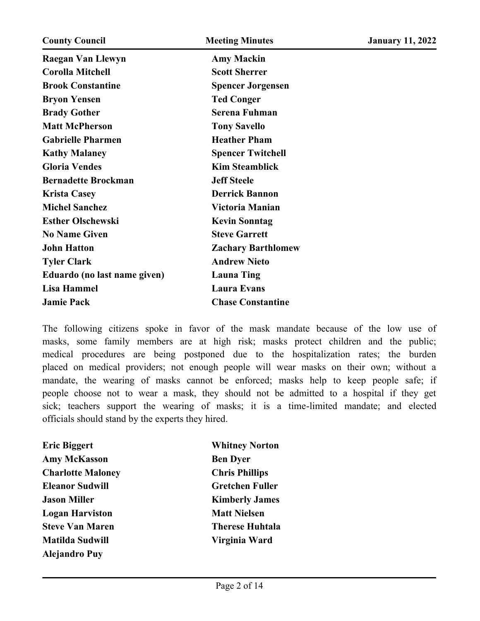| <b>County Council</b>        | <b>Meeting Minutes</b>    | <b>January 11, 2022</b> |
|------------------------------|---------------------------|-------------------------|
| <b>Raegan Van Llewyn</b>     | <b>Amy Mackin</b>         |                         |
| <b>Corolla Mitchell</b>      | <b>Scott Sherrer</b>      |                         |
| <b>Brook Constantine</b>     | <b>Spencer Jorgensen</b>  |                         |
| <b>Bryon Yensen</b>          | <b>Ted Conger</b>         |                         |
| <b>Brady Gother</b>          | Serena Fuhman             |                         |
| <b>Matt McPherson</b>        | <b>Tony Savello</b>       |                         |
| <b>Gabrielle Pharmen</b>     | <b>Heather Pham</b>       |                         |
| <b>Kathy Malaney</b>         | <b>Spencer Twitchell</b>  |                         |
| <b>Gloria Vendes</b>         | <b>Kim Steamblick</b>     |                         |
| <b>Bernadette Brockman</b>   | <b>Jeff Steele</b>        |                         |
| <b>Krista Casey</b>          | <b>Derrick Bannon</b>     |                         |
| <b>Michel Sanchez</b>        | Victoria Manian           |                         |
| <b>Esther Olschewski</b>     | <b>Kevin Sonntag</b>      |                         |
| <b>No Name Given</b>         | <b>Steve Garrett</b>      |                         |
| <b>John Hatton</b>           | <b>Zachary Barthlomew</b> |                         |
| <b>Tyler Clark</b>           | <b>Andrew Nieto</b>       |                         |
| Eduardo (no last name given) | <b>Launa Ting</b>         |                         |
| <b>Lisa Hammel</b>           | <b>Laura Evans</b>        |                         |
| <b>Jamie Pack</b>            | <b>Chase Constantine</b>  |                         |

The following citizens spoke in favor of the mask mandate because of the low use of masks, some family members are at high risk; masks protect children and the public; medical procedures are being postponed due to the hospitalization rates; the burden placed on medical providers; not enough people will wear masks on their own; without a mandate, the wearing of masks cannot be enforced; masks help to keep people safe; if people choose not to wear a mask, they should not be admitted to a hospital if they get sick; teachers support the wearing of masks; it is a time-limited mandate; and elected officials should stand by the experts they hired.

| <b>Eric Biggert</b>      | <b>Whitney Norton</b>  |
|--------------------------|------------------------|
| <b>Amy McKasson</b>      | <b>Ben Dyer</b>        |
| <b>Charlotte Maloney</b> | <b>Chris Phillips</b>  |
| <b>Eleanor Sudwill</b>   | <b>Gretchen Fuller</b> |
| <b>Jason Miller</b>      | <b>Kimberly James</b>  |
| <b>Logan Harviston</b>   | <b>Matt Nielsen</b>    |
| <b>Steve Van Maren</b>   | <b>Therese Huhtala</b> |
| <b>Matilda Sudwill</b>   | Virginia Ward          |
| Alejandro Puy            |                        |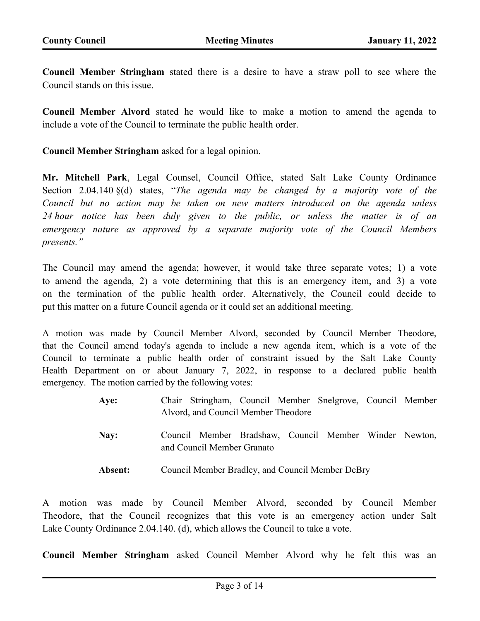**Council Member Stringham** stated there is a desire to have a straw poll to see where the Council stands on this issue.

**Council Member Alvord** stated he would like to make a motion to amend the agenda to include a vote of the Council to terminate the public health order.

**Council Member Stringham** asked for a legal opinion.

**Mr. Mitchell Park**, Legal Counsel, Council Office, stated Salt Lake County Ordinance Section 2.04.140 §(d) states, "*The agenda may be changed by a majority vote of the Council but no action may be taken on new matters introduced on the agenda unless 24 hour notice has been duly given to the public, or unless the matter is of an emergency nature as approved by a separate majority vote of the Council Members presents."*

The Council may amend the agenda; however, it would take three separate votes; 1) a vote to amend the agenda, 2) a vote determining that this is an emergency item, and 3) a vote on the termination of the public health order. Alternatively, the Council could decide to put this matter on a future Council agenda or it could set an additional meeting.

A motion was made by Council Member Alvord, seconded by Council Member Theodore, that the Council amend today's agenda to include a new agenda item, which is a vote of the Council to terminate a public health order of constraint issued by the Salt Lake County Health Department on or about January 7, 2022, in response to a declared public health emergency. The motion carried by the following votes:

- Chair Stringham, Council Member Snelgrove, Council Member Alvord, and Council Member Theodore **Aye:**
- Council Member Bradshaw, Council Member Winder Newton, and Council Member Granato **Nay:**
- **Absent:** Council Member Bradley, and Council Member DeBry

A motion was made by Council Member Alvord, seconded by Council Member Theodore, that the Council recognizes that this vote is an emergency action under Salt Lake County Ordinance 2.04.140. (d), which allows the Council to take a vote.

**Council Member Stringham** asked Council Member Alvord why he felt this was an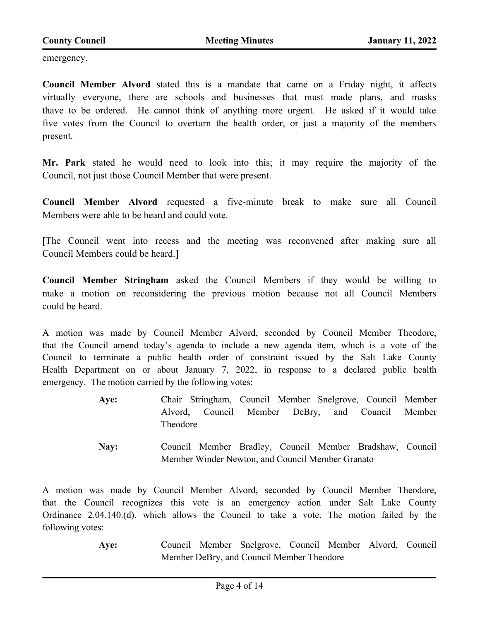emergency.

**Council Member Alvord** stated this is a mandate that came on a Friday night, it affects virtually everyone, there are schools and businesses that must made plans, and masks thave to be ordered. He cannot think of anything more urgent. He asked if it would take five votes from the Council to overturn the health order, or just a majority of the members present.

**Mr. Park** stated he would need to look into this; it may require the majority of the Council, not just those Council Member that were present.

**Council Member Alvord** requested a five-minute break to make sure all Council Members were able to be heard and could vote.

[The Council went into recess and the meeting was reconvened after making sure all Council Members could be heard.]

**Council Member Stringham** asked the Council Members if they would be willing to make a motion on reconsidering the previous motion because not all Council Members could be heard.

A motion was made by Council Member Alvord, seconded by Council Member Theodore, that the Council amend today's agenda to include a new agenda item, which is a vote of the Council to terminate a public health order of constraint issued by the Salt Lake County Health Department on or about January 7, 2022, in response to a declared public health emergency. The motion carried by the following votes:

- Chair Stringham, Council Member Snelgrove, Council Member Alvord, Council Member DeBry, and Council Member Theodore **Aye:**
- Council Member Bradley, Council Member Bradshaw, Council Member Winder Newton, and Council Member Granato **Nay:**

A motion was made by Council Member Alvord, seconded by Council Member Theodore, that the Council recognizes this vote is an emergency action under Salt Lake County Ordinance 2.04.140.(d), which allows the Council to take a vote. The motion failed by the following votes:

> Council Member Snelgrove, Council Member Alvord, Council Member DeBry, and Council Member Theodore **Aye:**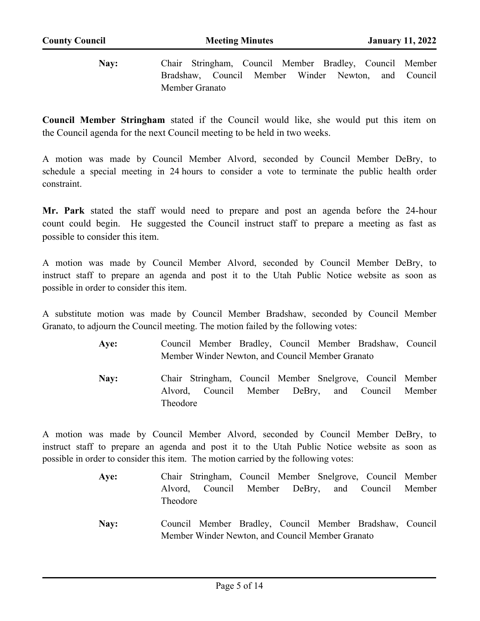Chair Stringham, Council Member Bradley, Council Member Bradshaw, Council Member Winder Newton, and Council Member Granato **Nay:**

**Council Member Stringham** stated if the Council would like, she would put this item on the Council agenda for the next Council meeting to be held in two weeks.

A motion was made by Council Member Alvord, seconded by Council Member DeBry, to schedule a special meeting in 24 hours to consider a vote to terminate the public health order constraint.

**Mr. Park** stated the staff would need to prepare and post an agenda before the 24-hour count could begin. He suggested the Council instruct staff to prepare a meeting as fast as possible to consider this item.

A motion was made by Council Member Alvord, seconded by Council Member DeBry, to instruct staff to prepare an agenda and post it to the Utah Public Notice website as soon as possible in order to consider this item.

A substitute motion was made by Council Member Bradshaw, seconded by Council Member Granato, to adjourn the Council meeting. The motion failed by the following votes:

- Council Member Bradley, Council Member Bradshaw, Council Member Winder Newton, and Council Member Granato **Aye:**
- Chair Stringham, Council Member Snelgrove, Council Member Alvord, Council Member DeBry, and Council Member Theodore **Nay:**

A motion was made by Council Member Alvord, seconded by Council Member DeBry, to instruct staff to prepare an agenda and post it to the Utah Public Notice website as soon as possible in order to consider this item. The motion carried by the following votes:

- Chair Stringham, Council Member Snelgrove, Council Member Alvord, Council Member DeBry, and Council Member Theodore **Aye:**
- Council Member Bradley, Council Member Bradshaw, Council Member Winder Newton, and Council Member Granato **Nay:**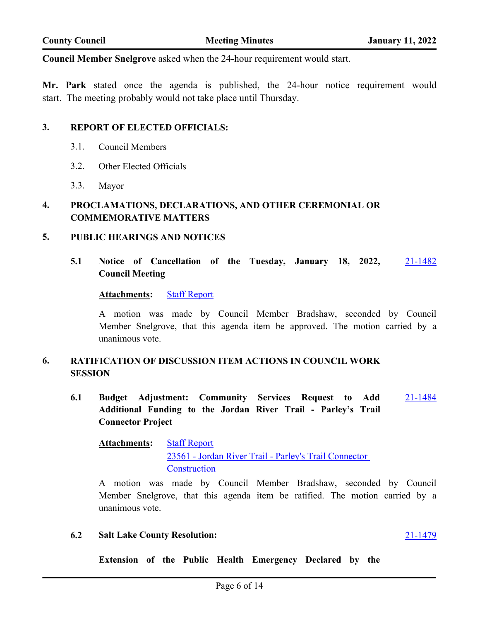**Council Member Snelgrove** asked when the 24-hour requirement would start.

**Mr. Park** stated once the agenda is published, the 24-hour notice requirement would start. The meeting probably would not take place until Thursday.

#### **3. REPORT OF ELECTED OFFICIALS:**

- 3.1. Council Members
- 3.2. Other Elected Officials
- 3.3. Mayor

# **4. PROCLAMATIONS, DECLARATIONS, AND OTHER CEREMONIAL OR COMMEMORATIVE MATTERS**

#### **5. PUBLIC HEARINGS AND NOTICES**

**5.1 Notice of Cancellation of the Tuesday, January 18, 2022, Council Meeting** [21-1482](http://slco.legistar.com/gateway.aspx?m=l&id=/matter.aspx?key=7236)

#### **Attachments:** [Staff Report](http://slco.legistar.com/gateway.aspx?M=F&ID=14137f26-b2ce-495e-94de-a295aa481802.pdf)

A motion was made by Council Member Bradshaw, seconded by Council Member Snelgrove, that this agenda item be approved. The motion carried by a unanimous vote.

# **6. RATIFICATION OF DISCUSSION ITEM ACTIONS IN COUNCIL WORK SESSION**

**6.1 Budget Adjustment: Community Services Request to Add Additional Funding to the Jordan River Trail - Parley's Trail Connector Project** [21-1484](http://slco.legistar.com/gateway.aspx?m=l&id=/matter.aspx?key=7238)

| <b>Attachments:</b> Staff Report |                                                       |
|----------------------------------|-------------------------------------------------------|
|                                  | 23561 - Jordan River Trail - Parley's Trail Connector |
|                                  | Construction                                          |

A motion was made by Council Member Bradshaw, seconded by Council Member Snelgrove, that this agenda item be ratified. The motion carried by a unanimous vote.

#### **6.2 Salt Lake County Resolution:**

#### [21-1479](http://slco.legistar.com/gateway.aspx?m=l&id=/matter.aspx?key=7233)

**Extension of the Public Health Emergency Declared by the**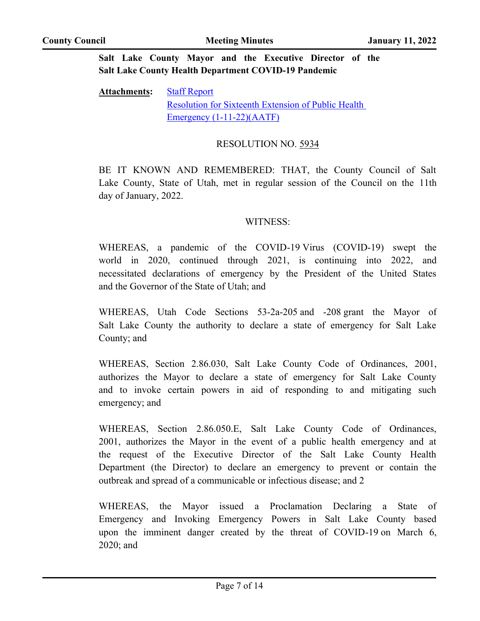# **Salt Lake County Mayor and the Executive Director of the Salt Lake County Health Department COVID-19 Pandemic**

**Attachments:** [Staff Report](http://slco.legistar.com/gateway.aspx?M=F&ID=c4fcaee7-949c-4d9b-8aa8-56fd080ff1f8.pdf) [Resolution for Sixteenth Extension of Public Health](http://slco.legistar.com/gateway.aspx?M=F&ID=f020984f-41ee-496b-8997-e54b10581ebf.pdf)  Emergency (1-11-22)(AATF)

# RESOLUTION NO. 5934

BE IT KNOWN AND REMEMBERED: THAT, the County Council of Salt Lake County, State of Utah, met in regular session of the Council on the 11th day of January, 2022.

#### WITNESS:

WHEREAS, a pandemic of the COVID-19 Virus (COVID-19) swept the world in 2020, continued through 2021, is continuing into 2022, and necessitated declarations of emergency by the President of the United States and the Governor of the State of Utah; and

WHEREAS, Utah Code Sections 53-2a-205 and -208 grant the Mayor of Salt Lake County the authority to declare a state of emergency for Salt Lake County; and

WHEREAS, Section 2.86.030, Salt Lake County Code of Ordinances, 2001, authorizes the Mayor to declare a state of emergency for Salt Lake County and to invoke certain powers in aid of responding to and mitigating such emergency; and

WHEREAS, Section 2.86.050.E, Salt Lake County Code of Ordinances, 2001, authorizes the Mayor in the event of a public health emergency and at the request of the Executive Director of the Salt Lake County Health Department (the Director) to declare an emergency to prevent or contain the outbreak and spread of a communicable or infectious disease; and 2

WHEREAS, the Mayor issued a Proclamation Declaring a State of Emergency and Invoking Emergency Powers in Salt Lake County based upon the imminent danger created by the threat of COVID-19 on March 6, 2020; and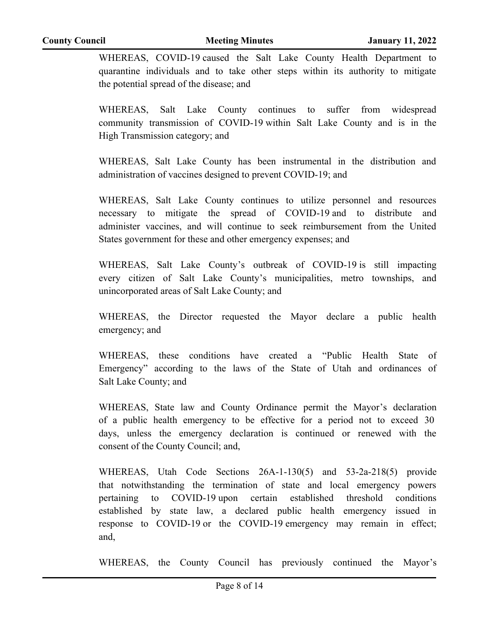WHEREAS, COVID-19 caused the Salt Lake County Health Department to quarantine individuals and to take other steps within its authority to mitigate the potential spread of the disease; and

WHEREAS, Salt Lake County continues to suffer from widespread community transmission of COVID-19 within Salt Lake County and is in the High Transmission category; and

WHEREAS, Salt Lake County has been instrumental in the distribution and administration of vaccines designed to prevent COVID-19; and

WHEREAS, Salt Lake County continues to utilize personnel and resources necessary to mitigate the spread of COVID-19 and to distribute and administer vaccines, and will continue to seek reimbursement from the United States government for these and other emergency expenses; and

WHEREAS, Salt Lake County's outbreak of COVID-19 is still impacting every citizen of Salt Lake County's municipalities, metro townships, and unincorporated areas of Salt Lake County; and

WHEREAS, the Director requested the Mayor declare a public health emergency; and

WHEREAS, these conditions have created a "Public Health State of Emergency" according to the laws of the State of Utah and ordinances of Salt Lake County; and

WHEREAS, State law and County Ordinance permit the Mayor's declaration of a public health emergency to be effective for a period not to exceed 30 days, unless the emergency declaration is continued or renewed with the consent of the County Council; and,

WHEREAS, Utah Code Sections 26A-1-130(5) and 53-2a-218(5) provide that notwithstanding the termination of state and local emergency powers pertaining to COVID-19 upon certain established threshold conditions established by state law, a declared public health emergency issued in response to COVID-19 or the COVID-19 emergency may remain in effect; and,

WHEREAS, the County Council has previously continued the Mayor's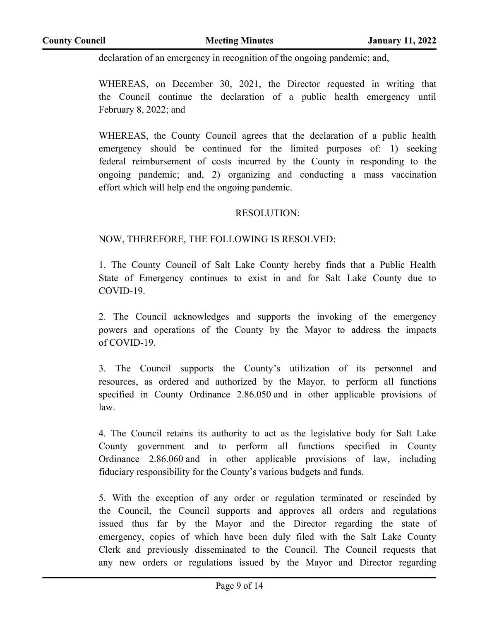declaration of an emergency in recognition of the ongoing pandemic; and,

WHEREAS, on December 30, 2021, the Director requested in writing that the Council continue the declaration of a public health emergency until February 8, 2022; and

WHEREAS, the County Council agrees that the declaration of a public health emergency should be continued for the limited purposes of: 1) seeking federal reimbursement of costs incurred by the County in responding to the ongoing pandemic; and, 2) organizing and conducting a mass vaccination effort which will help end the ongoing pandemic.

# RESOLUTION:

# NOW, THEREFORE, THE FOLLOWING IS RESOLVED:

1. The County Council of Salt Lake County hereby finds that a Public Health State of Emergency continues to exist in and for Salt Lake County due to COVID-19.

2. The Council acknowledges and supports the invoking of the emergency powers and operations of the County by the Mayor to address the impacts of COVID-19.

3. The Council supports the County's utilization of its personnel and resources, as ordered and authorized by the Mayor, to perform all functions specified in County Ordinance 2.86.050 and in other applicable provisions of law.

4. The Council retains its authority to act as the legislative body for Salt Lake County government and to perform all functions specified in County Ordinance 2.86.060 and in other applicable provisions of law, including fiduciary responsibility for the County's various budgets and funds.

5. With the exception of any order or regulation terminated or rescinded by the Council, the Council supports and approves all orders and regulations issued thus far by the Mayor and the Director regarding the state of emergency, copies of which have been duly filed with the Salt Lake County Clerk and previously disseminated to the Council. The Council requests that any new orders or regulations issued by the Mayor and Director regarding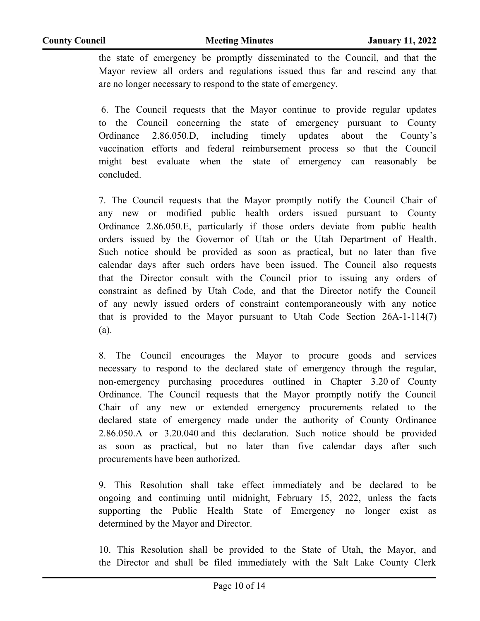the state of emergency be promptly disseminated to the Council, and that the Mayor review all orders and regulations issued thus far and rescind any that are no longer necessary to respond to the state of emergency.

 6. The Council requests that the Mayor continue to provide regular updates to the Council concerning the state of emergency pursuant to County Ordinance 2.86.050.D, including timely updates about the County's vaccination efforts and federal reimbursement process so that the Council might best evaluate when the state of emergency can reasonably be concluded.

7. The Council requests that the Mayor promptly notify the Council Chair of any new or modified public health orders issued pursuant to County Ordinance 2.86.050.E, particularly if those orders deviate from public health orders issued by the Governor of Utah or the Utah Department of Health. Such notice should be provided as soon as practical, but no later than five calendar days after such orders have been issued. The Council also requests that the Director consult with the Council prior to issuing any orders of constraint as defined by Utah Code, and that the Director notify the Council of any newly issued orders of constraint contemporaneously with any notice that is provided to the Mayor pursuant to Utah Code Section 26A-1-114(7) (a).

8. The Council encourages the Mayor to procure goods and services necessary to respond to the declared state of emergency through the regular, non-emergency purchasing procedures outlined in Chapter 3.20 of County Ordinance. The Council requests that the Mayor promptly notify the Council Chair of any new or extended emergency procurements related to the declared state of emergency made under the authority of County Ordinance 2.86.050.A or 3.20.040 and this declaration. Such notice should be provided as soon as practical, but no later than five calendar days after such procurements have been authorized.

9. This Resolution shall take effect immediately and be declared to be ongoing and continuing until midnight, February 15, 2022, unless the facts supporting the Public Health State of Emergency no longer exist as determined by the Mayor and Director.

10. This Resolution shall be provided to the State of Utah, the Mayor, and the Director and shall be filed immediately with the Salt Lake County Clerk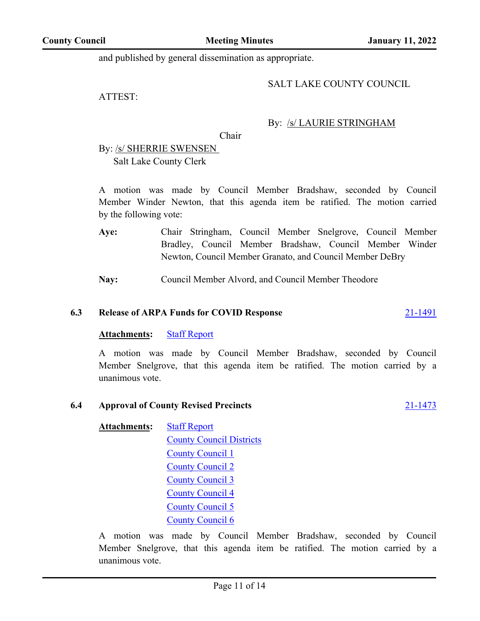and published by general dissemination as appropriate.

### SALT LAKE COUNTY COUNCIL

ATTEST:

# By: /s/ LAURIE STRINGHAM

Chair

By: /s/ SHERRIE SWENSEN Salt Lake County Clerk

A motion was made by Council Member Bradshaw, seconded by Council Member Winder Newton, that this agenda item be ratified. The motion carried by the following vote:

Chair Stringham, Council Member Snelgrove, Council Member Bradley, Council Member Bradshaw, Council Member Winder Newton, Council Member Granato, and Council Member DeBry **Aye:**

**Nay:** Council Member Alvord, and Council Member Theodore

#### **6.3 Release of ARPA Funds for COVID Response** [21-1491](http://slco.legistar.com/gateway.aspx?m=l&id=/matter.aspx?key=7245)

#### **Attachments:** [Staff Report](http://slco.legistar.com/gateway.aspx?M=F&ID=8c224244-9208-4159-ad76-f7dc081044aa.pdf)

A motion was made by Council Member Bradshaw, seconded by Council Member Snelgrove, that this agenda item be ratified. The motion carried by a unanimous vote.

#### **6.4 Approval of County Revised Precincts** [21-1473](http://slco.legistar.com/gateway.aspx?m=l&id=/matter.aspx?key=7227)

# **Attachments:** [Staff Report](http://slco.legistar.com/gateway.aspx?M=F&ID=e25ef048-d615-491c-8639-40b2bfcc964a.pdf)

[County Council Districts](http://slco.legistar.com/gateway.aspx?M=F&ID=f429481b-ffad-41d0-8fc2-8778ffe320a8.pdf) [County Council 1](http://slco.legistar.com/gateway.aspx?M=F&ID=32267500-42e1-448b-8da6-2e9cca911f9f.pdf) [County Council 2](http://slco.legistar.com/gateway.aspx?M=F&ID=a3cab3f0-1d8f-4e5f-ac1f-9c9c97da771f.pdf) [County Council 3](http://slco.legistar.com/gateway.aspx?M=F&ID=8e2c9220-84da-4c84-99c0-7cbe34638514.pdf) [County Council 4](http://slco.legistar.com/gateway.aspx?M=F&ID=63126d43-144f-4528-bdab-f968dbc5b24f.pdf) [County Council 5](http://slco.legistar.com/gateway.aspx?M=F&ID=ab4d9838-c0c7-433d-97bc-f68a774a478d.pdf) [County Council 6](http://slco.legistar.com/gateway.aspx?M=F&ID=f5cd73ac-4fc2-47e0-a2ba-8a6c8ea09261.pdf)

A motion was made by Council Member Bradshaw, seconded by Council Member Snelgrove, that this agenda item be ratified. The motion carried by a unanimous vote.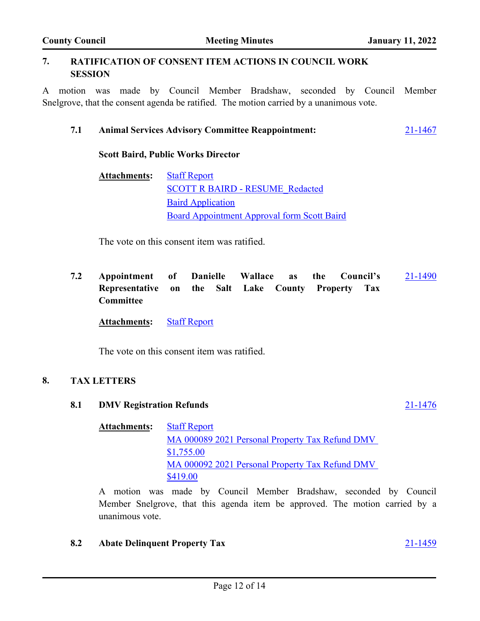# **7. RATIFICATION OF CONSENT ITEM ACTIONS IN COUNCIL WORK SESSION**

A motion was made by Council Member Bradshaw, seconded by Council Member Snelgrove, that the consent agenda be ratified. The motion carried by a unanimous vote.

#### **7.1 Animal Services Advisory Committee Reappointment:** [21-1467](http://slco.legistar.com/gateway.aspx?m=l&id=/matter.aspx?key=7221)

#### **Scott Baird, Public Works Director**

| <b>Attachments:</b> | <b>Staff Report</b>                         |
|---------------------|---------------------------------------------|
|                     | <b>SCOTT R BAIRD - RESUME Redacted</b>      |
|                     | <b>Baird Application</b>                    |
|                     | Board Appointment Approval form Scott Baird |

The vote on this consent item was ratified.

**7.2 Appointment of Danielle Wallace as the Council's Representative on the Salt Lake County Property Tax Committee** [21-1490](http://slco.legistar.com/gateway.aspx?m=l&id=/matter.aspx?key=7244)

**Attachments:** [Staff Report](http://slco.legistar.com/gateway.aspx?M=F&ID=557caaa9-8526-438c-9344-1725af65ade7.pdf)

The vote on this consent item was ratified.

# **8. TAX LETTERS**

**8.1 DMV Registration Refunds** [21-1476](http://slco.legistar.com/gateway.aspx?m=l&id=/matter.aspx?key=7230)

**Attachments:** [Staff Report](http://slco.legistar.com/gateway.aspx?M=F&ID=e137f8f7-9b8c-45e0-bf9a-370c6a2052f6.pdf) [MA 000089 2021 Personal Property Tax Refund DMV](http://slco.legistar.com/gateway.aspx?M=F&ID=3daa96c9-f178-4e02-a769-a178bb9e915a.pdf)  \$1,755.00 [MA 000092 2021 Personal Property Tax Refund DMV](http://slco.legistar.com/gateway.aspx?M=F&ID=ec879d86-3e82-4638-9b82-103ab58010f8.pdf)  \$419.00

A motion was made by Council Member Bradshaw, seconded by Council Member Snelgrove, that this agenda item be approved. The motion carried by a unanimous vote.

### **8.2 Abate Delinquent Property Tax** [21-1459](http://slco.legistar.com/gateway.aspx?m=l&id=/matter.aspx?key=7213)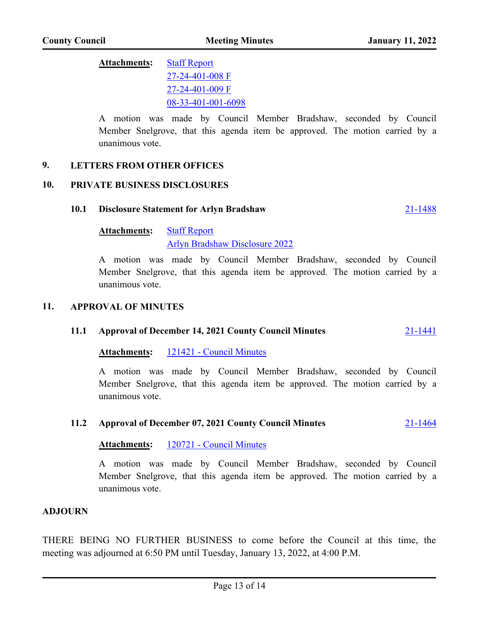**Attachments:** [Staff Report](http://slco.legistar.com/gateway.aspx?M=F&ID=075aebb5-4ade-479b-ae56-6c0b4f9eca04.pdf) [27-24-401-008 F](http://slco.legistar.com/gateway.aspx?M=F&ID=59b8a978-8297-482b-9924-8459221954de.pdf) [27-24-401-009 F](http://slco.legistar.com/gateway.aspx?M=F&ID=7dad5701-7aa9-413f-9460-471f37b42f7c.pdf) [08-33-401-001-6098](http://slco.legistar.com/gateway.aspx?M=F&ID=20c033eb-738d-44a5-a869-4b6a81b9849a.pdf)

A motion was made by Council Member Bradshaw, seconded by Council Member Snelgrove, that this agenda item be approved. The motion carried by a unanimous vote.

# **9. LETTERS FROM OTHER OFFICES**

# **10. PRIVATE BUSINESS DISCLOSURES**

#### **10.1 Disclosure Statement for Arlyn Bradshaw** [21-1488](http://slco.legistar.com/gateway.aspx?m=l&id=/matter.aspx?key=7242)

**Attachments:** [Staff Report](http://slco.legistar.com/gateway.aspx?M=F&ID=c3f42e72-a98d-4304-bd4f-c20403828fbe.pdf)

[Arlyn Bradshaw Disclosure 2022](http://slco.legistar.com/gateway.aspx?M=F&ID=7e15d471-59ff-4e34-b35c-09d35276d69c.pdf)

A motion was made by Council Member Bradshaw, seconded by Council Member Snelgrove, that this agenda item be approved. The motion carried by a unanimous vote.

# **11. APPROVAL OF MINUTES**

# **11.1 Approval of December 14, 2021 County Council Minutes** [21-1441](http://slco.legistar.com/gateway.aspx?m=l&id=/matter.aspx?key=7195)

**Attachments:** [121421 - Council Minutes](http://slco.legistar.com/gateway.aspx?M=F&ID=1d4e5909-7453-4b39-be63-68d2ae76fae4.pdf)

A motion was made by Council Member Bradshaw, seconded by Council Member Snelgrove, that this agenda item be approved. The motion carried by a unanimous vote.

# **11.2 Approval of December 07, 2021 County Council Minutes** [21-1464](http://slco.legistar.com/gateway.aspx?m=l&id=/matter.aspx?key=7218)

**Attachments:** [120721 - Council Minutes](http://slco.legistar.com/gateway.aspx?M=F&ID=b8a3c05a-0f48-426d-bb5c-e820318dfe9e.pdf)

A motion was made by Council Member Bradshaw, seconded by Council Member Snelgrove, that this agenda item be approved. The motion carried by a unanimous vote.

# **ADJOURN**

THERE BEING NO FURTHER BUSINESS to come before the Council at this time, the meeting was adjourned at 6:50 PM until Tuesday, January 13, 2022, at 4:00 P.M.